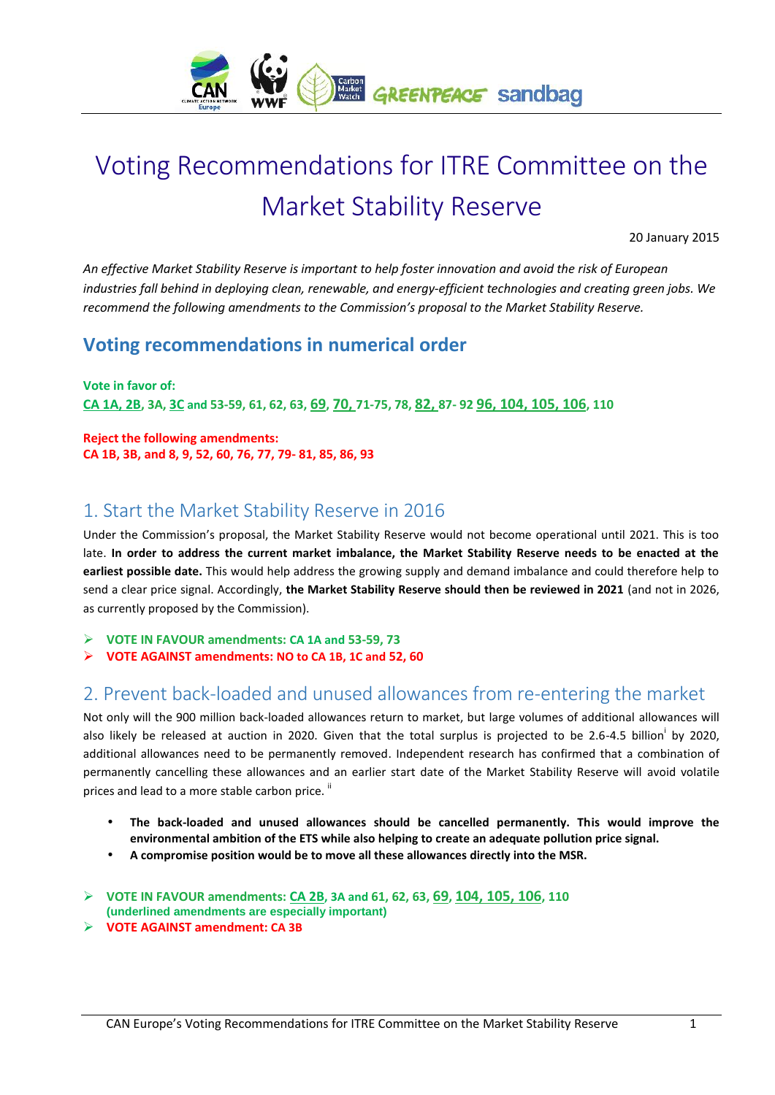

# **Voting Recommendations for ITRE Committee on the Market Stability Reserve**

20 January 2015

*An effective Market Stability Reserve is important to help foster innovation and avoid the risk of European industries fall behind in deploying clean, renewable, and energy-efficient technologies and creating green jobs. We recommend the following amendments to the Commission's proposal to the Market Stability Reserve.*

#### **Voting recommendations in numerical order**

**Vote in favor of:** CA 1A, 2B, 3A, 3C and 53-59, 61, 62, 63, 69, 70, 71-75, 78, 82, 87-92 96, 104, 105, 106, 110

**Reject the following amendments: CA 1B, 3B, and 8, 9, 52, 60, 76, 77, 79- 81, 85, 86, 93**

### **1. Start the Market Stability Reserve in 2016**

Under the Commission's proposal, the Market Stability Reserve would not become operational until 2021. This is too late. **In order to address the current market imbalance, the Market Stability Reserve needs to be enacted at the earliest possible date.** This would help address the growing supply and demand imbalance and could therefore help to send a clear price signal. Accordingly, **the Market Stability Reserve should then be reviewed in 2021** (and not in 2026, as currently proposed by the Commission).

**VOTE IN FAVOUR amendments: CA 1A and 53-59, 73**

**VOTE AGAINST amendments: NO to CA 1B, 1C and 52, 60**

## **2. Prevent back-loaded and unused allowances from re-entering the market**

Not only will the 900 million back-loaded allowances return to market, but large volumes of additional allowances will also likely be released at auction in 2020. Given that the total surplus is projected to be 2.6-4.5 billion by 2020, additional allowances need to be permanently removed. Independent research has confirmed that a combination of permanently cancelling these allowances and an earlier start date of the Market Stability Reserve will avoid volatile prices and lead to a more stable carbon price.  $\mathbb{I}$ 

- **The back-loaded and unused allowances should be cancelled permanently. This would improve the environmental ambition of the ETS while also helping to create an adequate pollution price signal.**
- **A compromise position would be to move all these allowances directly into the MSR.**
- **VOTE IN FAVOUR amendments: CA 2B, 3A and 61, 62, 63, 69, 104, 105, 106, 110**
- **(underlined amendments are especially important)**
- **VOTE AGAINST amendment: CA 3B**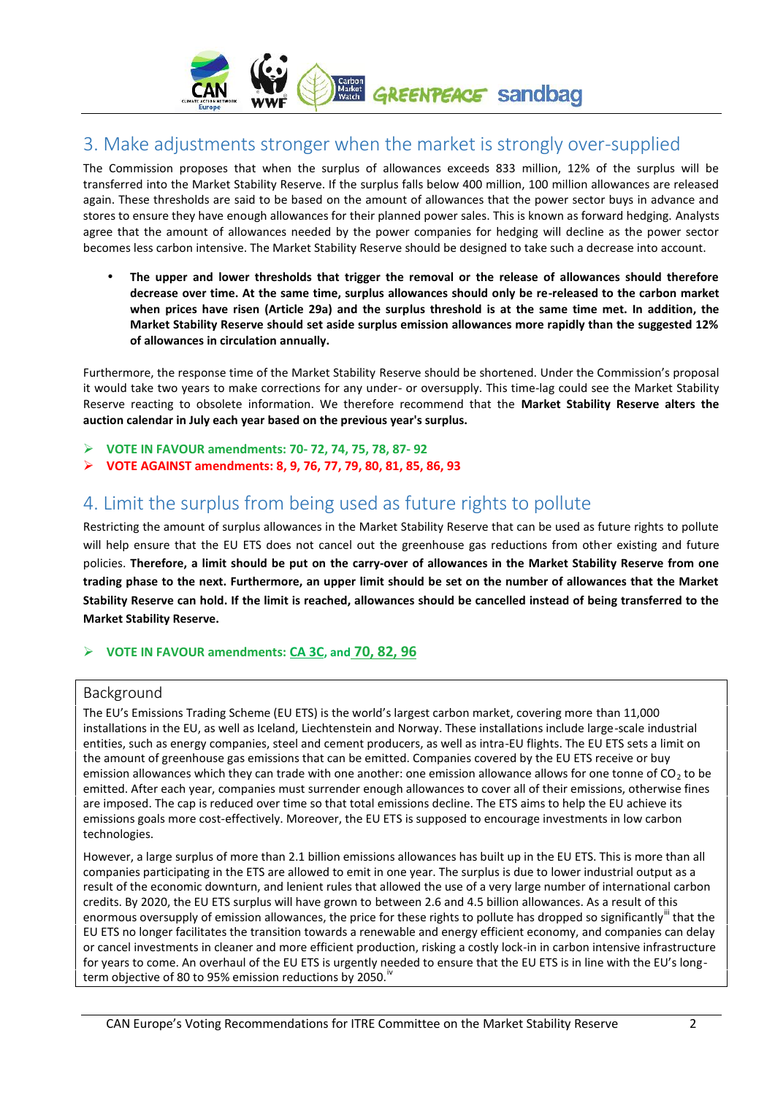

### **3. Make adjustments stronger when the market is strongly over-supplied**

The Commission proposes that when the surplus of allowances exceeds 833 million, 12% of the surplus will be transferred into the Market Stability Reserve. If the surplus falls below 400 million, 100 million allowances are released again. These thresholds are said to be based on the amount of allowances that the power sector buys in advance and stores to ensure they have enough allowances for their planned power sales. This is known as forward hedging. Analysts agree that the amount of allowances needed by the power companies for hedging will decline as the power sector becomes less carbon intensive. The Market Stability Reserve should be designed to take such a decrease into account.

 **The upper and lower thresholds that trigger the removal or the release of allowances should therefore decrease over time. At the same time, surplus allowances should only be re-released to the carbon market when prices have risen (Article 29a) and the surplus threshold is at the same time met. In addition, the Market Stability Reserve should set aside surplus emission allowances more rapidly than the suggested 12% of allowances in circulation annually.**

Furthermore, the response time of the Market Stability Reserve should be shortened. Under the Commission's proposal it would take two years to make corrections for any under- or oversupply. This time-lag could see the Market Stability Reserve reacting to obsolete information. We therefore recommend that the **Market Stability Reserve alters the auction calendar in July each year based on the previous year's surplus.**

- **VOTE IN FAVOUR amendments: 70- 72, 74, 75, 78, 87- 92**
- **VOTE AGAINST amendments: 8, 9, 76, 77, 79, 80, 81, 85, 86, 93**

## **4. Limit the surplus from being used as future rights to pollute**

Restricting the amount of surplus allowances in the Market Stability Reserve that can be used as future rights to pollute will help ensure that the EU ETS does not cancel out the greenhouse gas reductions from other existing and future policies. **Therefore, a limit should be put on the carry-over of allowances in the Market Stability Reserve from one trading phase to the next. Furthermore, an upper limit should be set on the number of allowances that the Market Stability Reserve can hold. If the limit is reached, allowances should be cancelled instead of being transferred to the Market Stability Reserve.**

#### **VOTE IN FAVOUR amendments: CA 3C, and 70, 82, 96**

#### **Background**

The EU's Emissions Trading Scheme (EU ETS) is the world's largest carbon market, covering more than 11,000 installations in the EU, as well as Iceland, Liechtenstein and Norway. These installations include large-scale industrial entities, such as energy companies, steel and cement producers, as well as intra-EU flights. The EU ETS sets a limit on the amount of greenhouse gas emissions that can be emitted. Companies covered by the EU ETS receive or buy emission allowances which they can trade with one another: one emission allowance allows for one tonne of  $CO<sub>2</sub>$  to be emitted. After each year, companies must surrender enough allowances to cover all of their emissions, otherwise fines are imposed. The cap is reduced over time so that total emissions decline. The ETS aims to help the EU achieve its emissions goals more cost-effectively. Moreover, the EU ETS is supposed to encourage investments in low carbon technologies.

However, a large surplus of more than 2.1 billion emissions allowances has built up in the EU ETS. This is more than all companies participating in the ETS are allowed to emit in one year. The surplus is due to lower industrial output as a result of the economic downturn, and lenient rules that allowed the use of a very large number of international carbon credits. By 2020, the EU ETS surplus will have grown to between 2.6 and 4.5 billion allowances. As a result of this enormous oversupply of emission allowances, the price for these rights to pollute has dropped so significantly" that the EU ETS no longer facilitates the transition towards a renewable and energy efficient economy, and companies can delay or cancel investments in cleaner and more efficient production, risking a costly lock-in in carbon intensive infrastructure for years to come. An overhaul of the EU ETS is urgently needed to ensure that the EU ETS is in line with the EU's long term objective of 80 to 95% emission reductions by 2050. $\mathrm{N}$